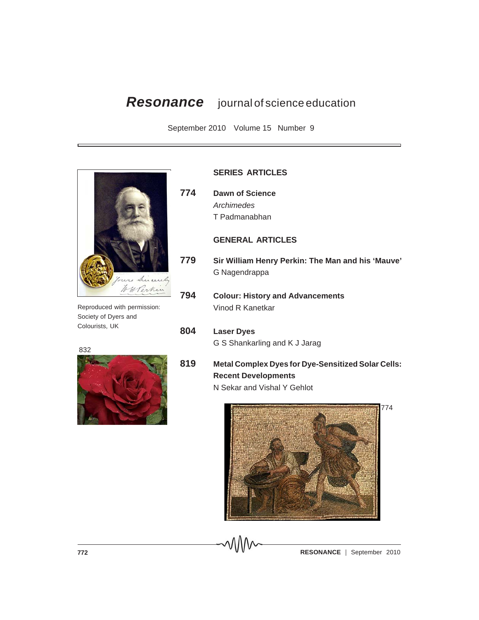# *Resonance* journal of science education

September 2010 Volume 15 Number 9



Reproduced with permission: Society of Dyers and Colourists, UK

832



# **SERIES ARTICLES**

**774 Dawn of Science** *Archimedes* T Padmanabhan

## **GENERAL ARTICLES**

- **779 Sir William Henry Perkin: The Man and his 'Mauve'** G Nagendrappa
- **794 Colour: History and Advancements** Vinod R Kanetkar

# **804 Laser Dyes**

G S Shankarling and K J Jarag

**819 Metal Complex Dyes for Dye-Sensitized Solar Cells: Recent Developments**

N Sekar and Vishal Y Gehlot